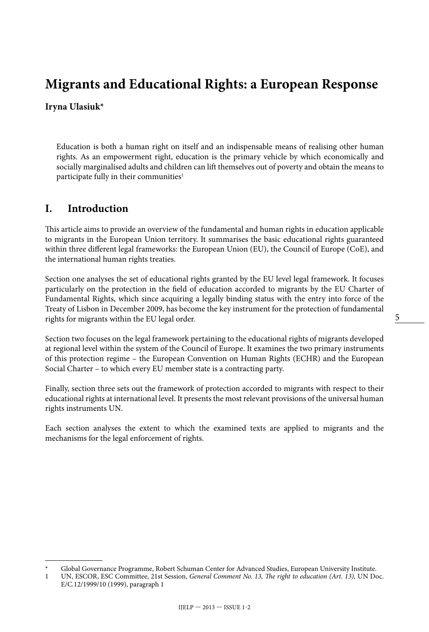# **Migrants and Educational Rights: a European Response**

### **Iryna Ulasiuk\***

Education is both a human right on itself and an indispensable means of realising other human rights. As an empowerment right, education is the primary vehicle by which economically and socially marginalised adults and children can lift themselves out of poverty and obtain the means to participate fully in their communities<sup>1</sup>

## **I. Introduction**

This article aims to provide an overview of the fundamental and human rights in education applicable to migrants in the European Union territory. It summarises the basic educational rights guaranteed within three different legal frameworks: the European Union (EU), the Council of Europe (CoE), and the international human rights treaties.

Section one analyses the set of educational rights granted by the EU level legal framework. It focuses particularly on the protection in the field of education accorded to migrants by the EU Charter of Fundamental Rights, which since acquiring a legally binding status with the entry into force of the Treaty of Lisbon in December 2009, has become the key instrument for the protection of fundamental rights for migrants within the EU legal order.

Section two focuses on the legal framework pertaining to the educational rights of migrants developed at regional level within the system of the Council of Europe. It examines the two primary instruments of this protection regime – the European Convention on Human Rights (ECHR) and the European Social Charter – to which every EU member state is a contracting party.

Finally, section three sets out the framework of protection accorded to migrants with respect to their educational rights at international level. It presents the most relevant provisions of the universal human rights instruments UN.

Each section analyses the extent to which the examined texts are applied to migrants and the mechanisms for the legal enforcement of rights.

Global Governance Programme, Robert Schuman Center for Advanced Studies, European University Institute.

<sup>1</sup> UN, ESCOR, ESC Committee, 21st Session, *General Comment No. 13, The right to education (Art. 13),* UN Doc. E/C.12/1999/10 (1999), paragraph 1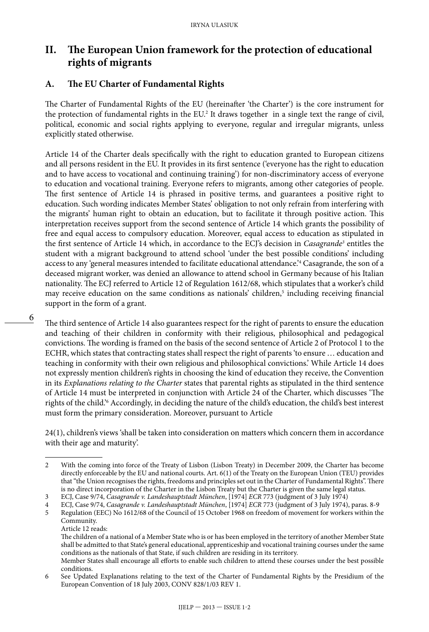# **II. The European Union framework for the protection of educational rights of migrants**

### **A. The EU Charter of Fundamental Rights**

The Charter of Fundamental Rights of the EU (hereinafter 'the Charter') is the core instrument for the protection of fundamental rights in the EU.<sup>2</sup> It draws together  $\,$  in a single text the range of civil, political, economic and social rights applying to everyone, regular and irregular migrants, unless explicitly stated otherwise.

Article 14 of the Charter deals specifically with the right to education granted to European citizens and all persons resident in the EU. It provides in its first sentence ('everyone has the right to education and to have access to vocational and continuing training') for non-discriminatory access of everyone to education and vocational training. Everyone refers to migrants, among other categories of people. The first sentence of Article 14 is phrased in positive terms, and guarantees a positive right to education. Such wording indicates Member States' obligation to not only refrain from interfering with the migrants' human right to obtain an education, but to facilitate it through positive action. This interpretation receives support from the second sentence of Article 14 which grants the possibility of free and equal access to compulsory education. Moreover, equal access to education as stipulated in the first sentence of Article 14 which, in accordance to the ECJ's decision in *Casagrande3* entitles the student with a migrant background to attend school 'under the best possible conditions' including access to any 'general measures intended to facilitate educational attendance.'4 Casagrande, the son of a deceased migrant worker, was denied an allowance to attend school in Germany because of his Italian nationality. The ECJ referred to Article 12 of Regulation 1612/68, which stipulates that a worker's child may receive education on the same conditions as nationals' children,<sup>5</sup> including receiving financial support in the form of a grant.

6

The third sentence of Article 14 also guarantees respect for the right of parents to ensure the education and teaching of their children in conformity with their religious, philosophical and pedagogical convictions. The wording is framed on the basis of the second sentence of Article 2 of Protocol 1 to the ECHR, which states that contracting states shall respect the right of parents 'to ensure … education and teaching in conformity with their own religious and philosophical convictions.' While Article 14 does not expressly mention children's rights in choosing the kind of education they receive, the Convention in its *Explanations relating to the Charter* states that parental rights as stipulated in the third sentence of Article 14 must be interpreted in conjunction with Article 24 of the Charter, which discusses 'The rights of the child.<sup>8</sup> Accordingly, in deciding the nature of the child's education, the child's best interest must form the primary consideration. Moreover, pursuant to Article

24(1), children's views 'shall be taken into consideration on matters which concern them in accordance with their age and maturity'.

<sup>2</sup> With the coming into force of the Treaty of Lisbon (Lisbon Treaty) in December 2009, the Charter has become directly enforceable by the EU and national courts. Art. 6(1) of the Treaty on the European Union (TEU) provides that "the Union recognises the rights, freedoms and principles set out in the Charter of Fundamental Rights". There is no direct incorporation of the Charter in the Lisbon Treaty but the Charter is given the same legal status.

<sup>3</sup> ECJ, Case 9/74, *Casagrande v. Landeshauptstadt München*, [1974] *ECR* 773 (judgment of 3 July 1974)

<sup>4</sup> ECJ, Case 9/74, *Casagrande v. Landeshauptstadt München*, [1974] *ECR* 773 (judgment of 3 July 1974), paras. 8-9

<sup>5</sup> Regulation (EEC) No 1612/68 of the Council of 15 October 1968 on freedom of movement for workers within the Community. Article 12 reads:

The children of a national of a Member State who is or has been employed in the territory of another Member State shall be admitted to that State's general educational, apprenticeship and vocational training courses under the same conditions as the nationals of that State, if such children are residing in its territory. Member States shall encourage all efforts to enable such children to attend these courses under the best possible

conditions.

<sup>6</sup> See Updated Explanations relating to the text of the Charter of Fundamental Rights by the Presidium of the European Convention of 18 July 2003, CONV 828/1/03 REV 1.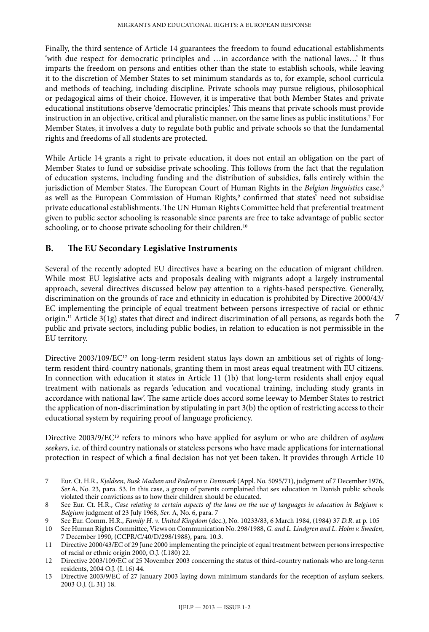Finally, the third sentence of Article 14 guarantees the freedom to found educational establishments 'with due respect for democratic principles and …in accordance with the national laws…' It thus imparts the freedom on persons and entities other than the state to establish schools, while leaving it to the discretion of Member States to set minimum standards as to, for example, school curricula and methods of teaching, including discipline. Private schools may pursue religious, philosophical or pedagogical aims of their choice. However, it is imperative that both Member States and private educational institutions observe 'democratic principles.' This means that private schools must provide instruction in an objective, critical and pluralistic manner, on the same lines as public institutions.7 For Member States, it involves a duty to regulate both public and private schools so that the fundamental rights and freedoms of all students are protected.

While Article 14 grants a right to private education, it does not entail an obligation on the part of Member States to fund or subsidise private schooling. This follows from the fact that the regulation of education systems, including funding and the distribution of subsidies, falls entirely within the jurisdiction of Member States. The European Court of Human Rights in the *Belgian linguistics* case,<sup>8</sup> as well as the European Commission of Human Rights,<sup>9</sup> confirmed that states' need not subsidise private educational establishments. The UN Human Rights Committee held that preferential treatment given to public sector schooling is reasonable since parents are free to take advantage of public sector schooling, or to choose private schooling for their children.<sup>10</sup>

#### **B. The EU Secondary Legislative Instruments**

Several of the recently adopted EU directives have a bearing on the education of migrant children. While most EU legislative acts and proposals dealing with migrants adopt a largely instrumental approach, several directives discussed below pay attention to a rights-based perspective. Generally, discrimination on the grounds of race and ethnicity in education is prohibited by Directive 2000/43/ EC implementing the principle of equal treatment between persons irrespective of racial or ethnic origin.<sup>11</sup> Article  $3(1g)$  states that direct and indirect discrimination of all persons, as regards both the public and private sectors, including public bodies, in relation to education is not permissible in the EU territory.

7

Directive 2003/109/EC<sup>12</sup> on long-term resident status lays down an ambitious set of rights of longterm resident third-country nationals, granting them in most areas equal treatment with EU citizens. In connection with education it states in Article 11 (1b) that long-term residents shall enjoy equal treatment with nationals as regards 'education and vocational training, including study grants in accordance with national law'. The same article does accord some leeway to Member States to restrict the application of non-discrimination by stipulating in part  $3(b)$  the option of restricting access to their educational system by requiring proof of language proficiency.

Directive 2003/9/EC<sup>13</sup> refers to minors who have applied for asylum or who are children of *asylum seekers*, i.e. of third country nationals or stateless persons who have made applications for international protection in respect of which a final decision has not yet been taken. It provides through Article 10

<sup>7</sup> Eur. Ct. H.R., *Kjeldsen, Busk Madsen and Pedersen v. Denmark* (Appl. No. 5095/71), judgment of 7 December 1976, *Ser.*A, No. 23, para. 53. In this case, a group of parents complained that sex education in Danish public schools violated their convictions as to how their children should be educated.

<sup>8</sup> See Eur. Ct. H.R., *Case relating to certain aspects of the laws on the use of languages in education in Belgium v. Belgium* judgment of 23 July 1968, *Ser.* A, No. 6, para. 7

<sup>9</sup> See Eur. Comm. H.R., *Family H. v. United Kingdom* (dec.), No. 10233/83, 6 March 1984, (1984) 37 *D.R*. at p. 105

<sup>10</sup> See Human Rights Committee, Views on Communication No. 298/1988, *G. and L. Lindgren and L. Holm v. Sweden*, 7 December 1990, (CCPR/C/40/D/298/1988), para. 10.3.

<sup>11</sup> Directive 2000/43/EC of 29 June 2000 implementing the principle of equal treatment between persons irrespective of racial or ethnic origin 2000, O.J. (L180) 22.

<sup>12</sup> Directive 2003/109/EC of 25 November 2003 concerning the status of third-country nationals who are long-term residents, 2004 O.J. (L 16) 44.

<sup>13</sup> Directive 2003/9/EC of 27 January 2003 laying down minimum standards for the reception of asylum seekers, 2003 O.J. (L 31) 18.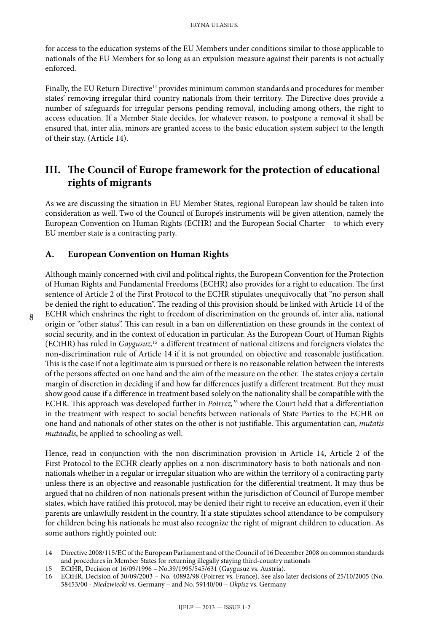for access to the education systems of the EU Members under conditions similar to those applicable to nationals of the EU Members for so long as an expulsion measure against their parents is not actually enforced.

Finally, the EU Return Directive<sup>14</sup> provides minimum common standards and procedures for member states' removing irregular third country nationals from their territory. The Directive does provide a number of safeguards for irregular persons pending removal, including among others, the right to access education. If a Member State decides, for whatever reason, to postpone a removal it shall be ensured that, inter alia, minors are granted access to the basic education system subject to the length of their stay. (Article 14).

# **III. The Council of Europe framework for the protection of educational rights of migrants**

As we are discussing the situation in EU Member States, regional European law should be taken into consideration as well. Two of the Council of Europe's instruments will be given attention, namely the European Convention on Human Rights (ECHR) and the European Social Charter – to which every EU member state is a contracting party.

#### **A. European Convention on Human Rights**

Although mainly concerned with civil and political rights, the European Convention for the Protection of Human Rights and Fundamental Freedoms (ECHR) also provides for a right to education. The first sentence of Article 2 of the First Protocol to the ECHR stipulates unequivocally that "no person shall be denied the right to education". The reading of this provision should be linked with Article 14 of the ECHR which enshrines the right to freedom of discrimination on the grounds of, inter alia, national origin or "other status". This can result in a ban on differentiation on these grounds in the context of social security, and in the context of education in particular. As the European Court of Human Rights (ECtHR) has ruled in *Gaygusuz*, 15 a different treatment of national citizens and foreigners violates the non-discrimination rule of Article 14 if it is not grounded on objective and reasonable justification. This is the case if not a legitimate aim is pursued or there is no reasonable relation between the interests of the persons affected on one hand and the aim of the measure on the other. The states enjoy a certain margin of discretion in deciding if and how far differences justify a different treatment. But they must show good cause if a difference in treatment based solely on the nationality shall be compatible with the ECHR. This approach was developed further in *Poirrez,16* where the Court held that a differentiation in the treatment with respect to social benefits between nationals of State Parties to the ECHR on one hand and nationals of other states on the other is not justifiable. This argumentation can, *mutatis mutandis*, be applied to schooling as well.

Hence, read in conjunction with the non-discrimination provision in Article 14, Article 2 of the First Protocol to the ECHR clearly applies on a non-discriminatory basis to both nationals and nonnationals whether in a regular or irregular situation who are within the territory of a contracting party unless there is an objective and reasonable justification for the differential treatment. It may thus be argued that no children of non-nationals present within the jurisdiction of Council of Europe member states, which have ratified this protocol, may be denied their right to receive an education, even if their parents are unlawfully resident in the country. If a state stipulates school attendance to be compulsory for children being his nationals he must also recognize the right of migrant children to education. As some authors rightly pointed out:

<sup>14</sup> Directive 2008/115/EC of the European Parliament and of the Council of 16 December 2008 on common standards and procedures in Member States for returning illegally staying third-country nationals

<sup>15</sup> ECtHR, Decision of 16/09/1996 – No.39/1995/545/631 (Gaygusuz vs. Austria).

<sup>16</sup> ECtHR, Decision of 30/09/2003 – No. 40892/98 (Poirrez vs. France). See also later decisions of 25/10/2005 (No. 58453/00 - *Niedzwiecki* vs. Germany – and No. 59140/00 – *Okpisz* vs. Germany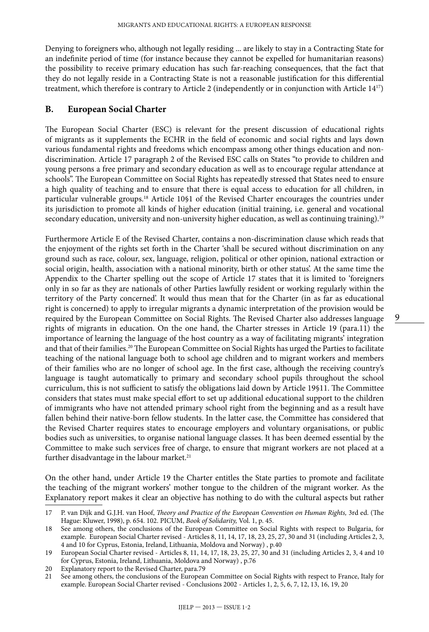Denying to foreigners who, although not legally residing ... are likely to stay in a Contracting State for an indefinite period of time (for instance because they cannot be expelled for humanitarian reasons) the possibility to receive primary education has such far-reaching consequences, that the fact that they do not legally reside in a Contracting State is not a reasonable justification for this differential treatment, which therefore is contrary to Article 2 (independently or in conjunction with Article 1417)

#### **B. European Social Charter**

The European Social Charter (ESC) is relevant for the present discussion of educational rights of migrants as it supplements the ECHR in the field of economic and social rights and lays down various fundamental rights and freedoms which encompass among other things education and nondiscrimination. Article 17 paragraph 2 of the Revised ESC calls on States "to provide to children and young persons a free primary and secondary education as well as to encourage regular attendance at schools". The European Committee on Social Rights has repeatedly stressed that States need to ensure a high quality of teaching and to ensure that there is equal access to education for all children, in particular vulnerable groups.<sup>18</sup> Article 10§1 of the Revised Charter encourages the countries under its jurisdiction to promote all kinds of higher education (initial training, i.e. general and vocational secondary education, university and non-university higher education, as well as continuing training).<sup>19</sup>

Furthermore Article E of the Revised Charter, contains a non-discrimination clause which reads that the enjoyment of the rights set forth in the Charter 'shall be secured without discrimination on any ground such as race, colour, sex, language, religion, political or other opinion, national extraction or social origin, health, association with a national minority, birth or other status'. At the same time the Appendix to the Charter spelling out the scope of Article 17 states that it is limited to 'foreigners only in so far as they are nationals of other Parties lawfully resident or working regularly within the territory of the Party concerned'. It would thus mean that for the Charter (in as far as educational right is concerned) to apply to irregular migrants a dynamic interpretation of the provision would be required by the European Committee on Social Rights. The Revised Charter also addresses language rights of migrants in education. On the one hand, the Charter stresses in Article 19 (para.11) the importance of learning the language of the host country as a way of facilitating migrants' integration and that of their families.<sup>20</sup> The European Committee on Social Rights has urged the Parties to facilitate teaching of the national language both to school age children and to migrant workers and members of their families who are no longer of school age. In the first case, although the receiving country's language is taught automatically to primary and secondary school pupils throughout the school curriculum, this is not sufficient to satisfy the obligations laid down by Article 19§11. The Committee considers that states must make special effort to set up additional educational support to the children of immigrants who have not attended primary school right from the beginning and as a result have fallen behind their native-born fellow students. In the latter case, the Committee has considered that the Revised Charter requires states to encourage employers and voluntary organisations, or public bodies such as universities, to organise national language classes. It has been deemed essential by the Committee to make such services free of charge, to ensure that migrant workers are not placed at a further disadvantage in the labour market.<sup>21</sup>

On the other hand, under Article 19 the Charter entitles the State parties to promote and facilitate the teaching of the migrant workers' mother tongue to the children of the migrant worker. As the Explanatory report makes it clear an objective has nothing to do with the cultural aspects but rather

<sup>17</sup> P. van Dijk and G.J.H. van Hoof, *Theory and Practice of the European Convention on Human Rights,* 3rd ed. (The Hague: Kluwer, 1998), p. 654. 102. PICUM, *Book of Solidarity,* Vol. 1, p. 45.

<sup>18</sup> See among others, the conclusions of the European Committee on Social Rights with respect to Bulgaria, for example. European Social Charter revised - Articles 8, 11, 14, 17, 18, 23, 25, 27, 30 and 31 (including Articles 2, 3, 4 and 10 for Cyprus, Estonia, Ireland, Lithuania, Moldova and Norway) , p.40

<sup>19</sup> European Social Charter revised - Articles 8, 11, 14, 17, 18, 23, 25, 27, 30 and 31 (including Articles 2, 3, 4 and 10 for Cyprus, Estonia, Ireland, Lithuania, Moldova and Norway) , p.76

<sup>20</sup> Explanatory report to the Revised Charter, para.79

<sup>21</sup> See among others, the conclusions of the European Committee on Social Rights with respect to France, Italy for example. European Social Charter revised - Conclusions 2002 - Articles 1, 2, 5, 6, 7, 12, 13, 16, 19, 20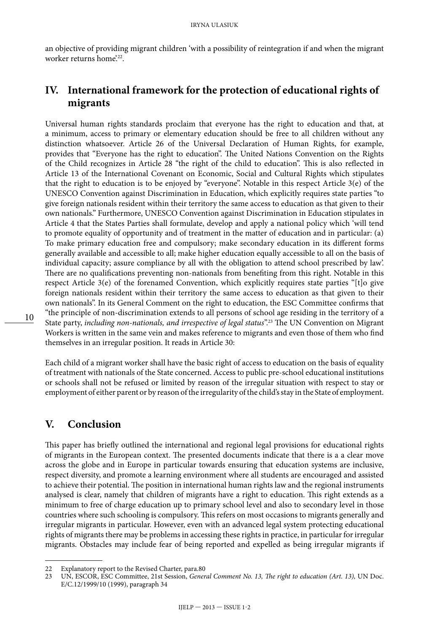an objective of providing migrant children 'with a possibility of reintegration if and when the migrant worker returns home?<sup>22</sup>.

# **IV. International framework for the protection of educational rights of migrants**

Universal human rights standards proclaim that everyone has the right to education and that, at a minimum, access to primary or elementary education should be free to all children without any distinction whatsoever. Article 26 of the Universal Declaration of Human Rights, for example, provides that "Everyone has the right to education". The United Nations Convention on the Rights of the Child recognizes in Article 28 "the right of the child to education". This is also reflected in Article 13 of the International Covenant on Economic, Social and Cultural Rights which stipulates that the right to education is to be enjoyed by "everyone". Notable in this respect Article 3(e) of the UNESCO Convention against Discrimination in Education, which explicitly requires state parties "to give foreign nationals resident within their territory the same access to education as that given to their own nationals." Furthermore, UNESCO Convention against Discrimination in Education stipulates in Article 4 that the States Parties shall formulate, develop and apply a national policy which 'will tend to promote equality of opportunity and of treatment in the matter of education and in particular: (a) To make primary education free and compulsory; make secondary education in its different forms generally available and accessible to all; make higher education equally accessible to all on the basis of individual capacity; assure compliance by all with the obligation to attend school prescribed by law'. There are no qualifications preventing non-nationals from benefiting from this right. Notable in this respect Article 3(e) of the forenamed Convention, which explicitly requires state parties "[t]o give foreign nationals resident within their territory the same access to education as that given to their own nationals". In its General Comment on the right to education, the ESC Committee confirms that "the principle of non-discrimination extends to all persons of school age residing in the territory of a State party, *including non-nationals, and irrespective of legal status*".23 The UN Convention on Migrant Workers is written in the same vein and makes reference to migrants and even those of them who find themselves in an irregular position. It reads in Article 30:

Each child of a migrant worker shall have the basic right of access to education on the basis of equality of treatment with nationals of the State concerned. Access to public pre-school educational institutions or schools shall not be refused or limited by reason of the irregular situation with respect to stay or employment of either parent or by reason of the irregularity of the child's stay in the State of employment.

## **V. Conclusion**

This paper has briefly outlined the international and regional legal provisions for educational rights of migrants in the European context. The presented documents indicate that there is a a clear move across the globe and in Europe in particular towards ensuring that education systems are inclusive, respect diversity, and promote a learning environment where all students are encouraged and assisted to achieve their potential. The position in international human rights law and the regional instruments analysed is clear, namely that children of migrants have a right to education. This right extends as a minimum to free of charge education up to primary school level and also to secondary level in those countries where such schooling is compulsory. This refers on most occasions to migrants generally and irregular migrants in particular. However, even with an advanced legal system protecting educational rights of migrants there may be problems in accessing these rights in practice, in particular for irregular migrants. Obstacles may include fear of being reported and expelled as being irregular migrants if

<sup>22</sup> Explanatory report to the Revised Charter, para.80

<sup>23</sup> UN, ESCOR, ESC Committee, 21st Session, *General Comment No. 13, The right to education (Art. 13),* UN Doc. E/C.12/1999/10 (1999), paragraph 34